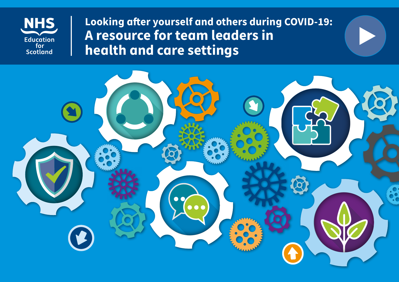

**Looking after yourself and others during COVID-19: A resource for team leaders in health and care settings**

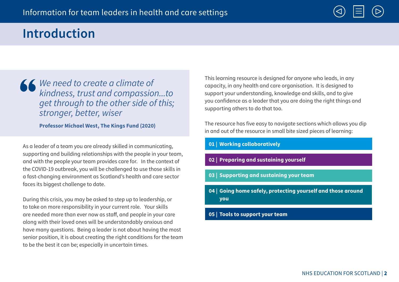

# **Introduction**

We need to create a climate of kindness, trust and compassion...to get through to the other side of this; stronger, better, wiser

**Professor Michael West, The Kings Fund (2020)**

As a leader of a team you are already skilled in communicating, supporting and building relationships with the people in your team, and with the people your team provides care for. In the context of the COVID-19 outbreak, you will be challenged to use those skills in a fast-changing environment as Scotland's health and care sector faces its biggest challenge to date.

During this crisis, you may be asked to step up to leadership, or to take on more responsibility in your current role. Your skills are needed more than ever now as staff, and people in your care along with their loved ones will be understandably anxious and have many questions. Being a leader is not about having the most senior position, it is about creating the right conditions for the team to be the best it can be; especially in uncertain times.

This learning resource is designed for anyone who leads, in any capacity, in any health and care organisation. It is designed to support your understanding, knowledge and skills, and to give you confidence as a leader that you are doing the right things and supporting others to do that too.

The resource has five easy to navigate sections which allows you dip in and out of the resource in small bite sized pieces of learning:

- **01 | Working collaboratively**
- **02 | Preparing and sustaining yourself**
- **03 | Supporting and sustaining your team**
- **04 | Going home safely, protecting yourself and those around you**
- **05 | Tools to support your team**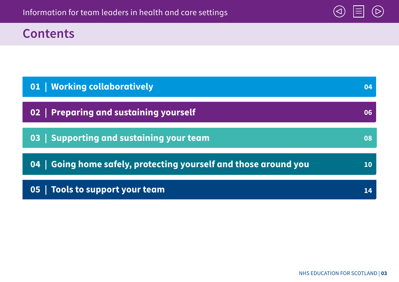

# **Contents**

| 01   Working collaboratively                                     |    |
|------------------------------------------------------------------|----|
| 02   Preparing and sustaining yourself                           |    |
| 03 Supporting and sustaining your team                           | 08 |
| 04   Going home safely, protecting yourself and those around you | 10 |
| 05   Tools to support your team                                  |    |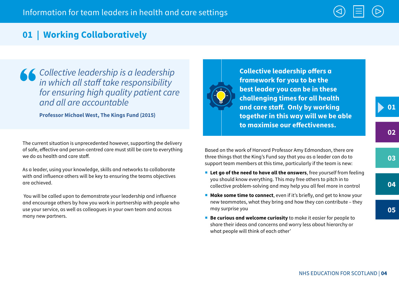

### **01 | Working Collaboratively**

Collective leadership is a leadership in which all staff take responsibility for ensuring high quality patient care and all are accountable

**Professor Michael West, The Kings Fund (2015)**

The current situation is unprecedented however, supporting the delivery of safe, effective and person-centred care must still be core to everything we do as health and care staff.

As a leader, using your knowledge, skills and networks to collaborate with and influence others will be key to ensuring the teams objectives are achieved.

 You will be called upon to demonstrate your leadership and influence and encourage others by how you work in partnership with people who use your service, as well as colleagues in your own team and across many new partners.



**Collective leadership offers a framework for you to be the best leader you can be in these challenging times for all health and care staff. Only by working together in this way will we be able to maximise our effectiveness.**

**01**

**02**

**05**

Based on the work of Harvard Professor Amy Edmondson, there are three things that the King's Fund say that you as a leader can do to support team members at this time, particularly if the team is new:

- **Let go of the need to have all the answers**, free yourself from feeling you should know everything. This may free others to pitch in to collective problem-solving and may help you all feel more in control
- **Make some time to connect**, even if it's briefly, and get to know your new teammates, what they bring and how they can contribute – they may surprise you
- **Be curious and welcome curiosity** to make it easier for people to share their ideas and concerns and worry less about hierarchy or what people will think of each other'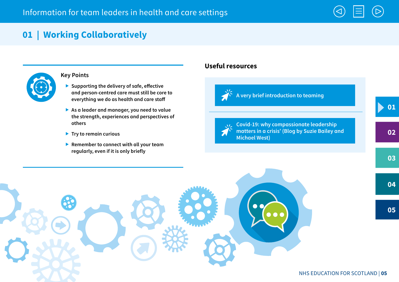# **01 | Working Collaboratively**



#### **Key Points**

- **Supporting the delivery of safe, effective and person-centred care must still be core to everything we do as health and care staff**
- **As a leader and manager, you need to value the strength, experiences and perspectives of others**
- **Try to remain curious**
- **Remember to connect with all your team regularly, even if it is only briefly**

### **Useful resources**





**Covid-19: why compassionate leadership matters in a crisis' (Blog by Suzie Bailey and Michael West)**

**05**

**01**

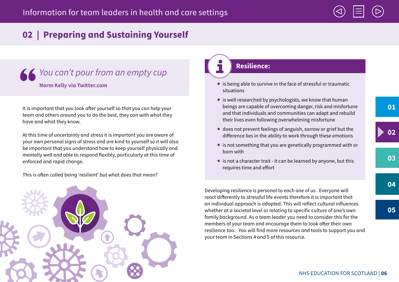

# **02 | Preparing and Sustaining Yourself**

# Kou can't pour from an empty cup **Norm Kelly via Twitter.com**

It is important that you look after yourself so that you can help your team and others around you to do the best, they can with what they have and what they know.

At this time of uncertainty and stress it is important you are aware of your own personal signs of stress and are kind to yourself so it will also be important that you understand how to keep yourself physically and mentally well and able to respond flexibly, particularly at this time of enforced and rapid change.

This is often called being 'resilient' but what does that mean?



### **Resilience:**

- $\blacksquare$  is being able to survive in the face of stressful or traumatic situations
- $\blacksquare$  is well researched by psychologists, we know that human beings are capable of overcoming danger, risk and misfortune and that individuals and communities can adapt and rebuild their lives even following overwhelming misfortune
- does not prevent feelings of anguish, sorrow or grief but the difference lies in the ability to work through these emotions
- $\blacksquare$  is not something that you are genetically programmed with or born with
- is not a character trait it can be learned by anyone, but this requires time and effort

Developing resilience is personal to each one of us. Everyone will react differently to stressful life events therefore it is important that an individual approach is adopted. This will reflect cultural influences whether at a societal level or relating to specific culture of one's own family background. As a team leader you need to consider this for the members of your team and encourage them to look after their own resilience too. You will find more resources and tools to support you and your team in Sections 4 and 5 of this resource.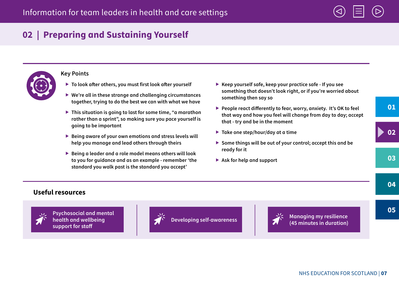

# **02 | Preparing and Sustaining Yourself**



#### **Key Points**

- **To look after others, you must first look after yourself**
- **We're all in these strange and challenging circumstances together, trying to do the best we can with what we have**
- **This situation is going to last for some time, "a marathon rather than a sprint", so making sure you pace yourself is going to be important**
- **Being aware of your own emotions and stress levels will help you manage and lead others through theirs**
- **Being a leader and a role model means others will look to you for guidance and as an example - remember 'the standard you walk past is the standard you accept'**
- **Keep yourself safe, keep your practice safe If you see something that doesn't look right, or if you're worried about something then say so**
- **People react differently to fear, worry, anxiety. It's OK to feel that way and how you feel will change from day to day; accept that - try and be in the moment**
- **Take one step/hour/day at a time**
- ▶ Some things will be out of your control; accept this and be **ready for it**
- **Ask for help and support**

### **Useful resources**



**Psychosocial and mental health and wellbeing support for staff**





**Developing self-awareness (45 minutes in duration)**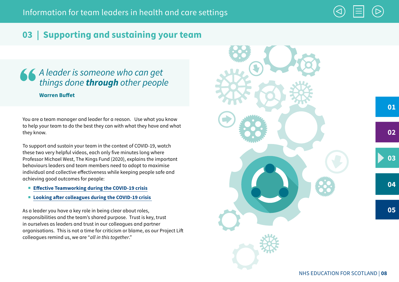

### **03 | Supporting and sustaining your team**

### A leader is someone who can get things done **through** other people **Warren Buffet**

You are a team manager and leader for a reason. Use what you know to help your team to do the best they can with what they have and what they know.

To support and sustain your team in the context of COVID-19, watch these two very helpful videos, each only five minutes long where Professor Michael West, The Kings Fund (2020), explains the important behaviours leaders and team members need to adopt to maximise individual and collective effectiveness while keeping people safe and achieving good outcomes for people:

- **Effective Teamworking during the COVID-19 crisis**
- Looking after colleagues during the COVID-19 crisis

As a leader you have a key role in being clear about roles, responsibilities and the team's shared purpose. Trust is key, trust in ourselves as leaders and trust in our colleagues and partner organisations. This is not a time for criticism or blame, as our Project Lift colleagues remind us, we are "all in this together."

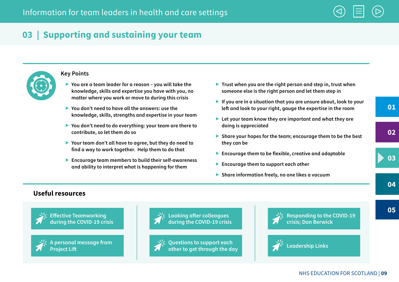

# **03 | Supporting and sustaining your team**



#### **Key Points**

- **You are a team leader for a reason you will take the knowledge, skills and expertise you have with you, no matter where you work or move to during this crisis**
- **You don't need to have all the answers: use the knowledge, skills, strengths and expertise in your team**
- **You don't need to do everything: your team are there to contribute, so let them do so**
- **Your team don't all have to agree, but they do need to find a way to work together. Help them to do that**
- **Encourage team members to build their self-awareness and ability to interpret what is happening for them**
- ▶ Trust when you are the right person and step in, trust when **someone else is the right person and let them step in**
- **If you are in a situation that you are unsure about, look to your left and look to your right, gauge the expertise in the room**
- **Let your team know they are important and what they are doing is appreciated**
- **Share your hopes for the team; encourage them to be the best they can be**
- **Encourage them to be flexible, creative and adaptable**
- **Encourage them to support each other**
- **Share information freely, no one likes a vacuum**

**01**

**05**

### **Useful resources**





**A personal message from** 





**Questions to support each other to get through the day**



**Responding to the COVID-19 crisis; Don Berwick**



**Leadership Links** 

#### NHS EDUCATION FOR SCOTLAND | **09**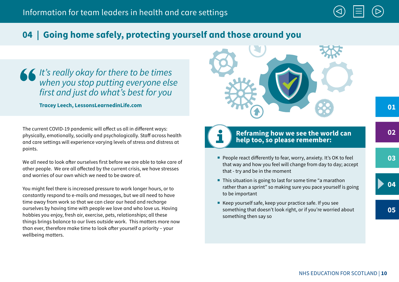

It's really okay for there to be times when you stop putting everyone else first and just do what's best for you

**Tracey Leech, LessonsLearnedinLife.com**

The current COVID-19 pandemic will affect us all in different ways: physically, emotionally, socially and psychologically. Staff across health and care settings will experience varying levels of stress and distress at points.

We all need to look after ourselves first before we are able to take care of other people. We are all affected by the current crisis, we have stresses and worries of our own which we need to be aware of.

You might feel there is increased pressure to work longer hours, or to constantly respond to e-mails and messages, but we all need to have time away from work so that we can clear our head and recharge ourselves by having time with people we love and who love us. Having hobbies you enjoy, fresh air, exercise, pets, relationships; all these things brings balance to our lives outside work. This matters more now than ever, therefore make time to look after yourself a priority – your wellbeing matters.



### **Reframing how we see the world can help too, so please remember:**

- People react differently to fear, worry, anxiety. It's OK to feel that way and how you feel will change from day to day; accept that - try and be in the moment
- This situation is going to last for some time "a marathon rather than a sprint" so making sure you pace yourself is going to be important
- Keep yourself safe, keep your practice safe. If you see something that doesn't look right, or if you're worried about something then say so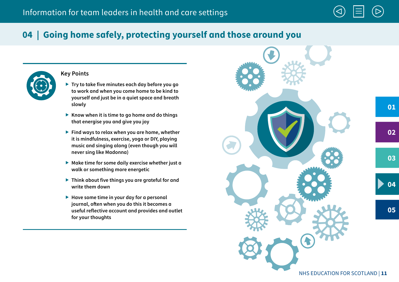

#### **Key Points**

- **Try to take five minutes each day before you go to work and when you come home to be kind to yourself and just be in a quiet space and breath slowly**
- ▶ Know when it is time to go home and do things **that energise you and give you joy**
- **Find ways to relax when you are home, whether it is mindfulness, exercise, yoga or DIY, playing music and singing along (even though you will never sing like Madonna)**
- **Make time for some daily exercise whether just a walk or something more energetic**
- **Think about five things you are grateful for and write them down**
- **Have some time in your day for a personal journal, often when you do this it becomes a useful reflective account and provides and outlet for your thoughts**

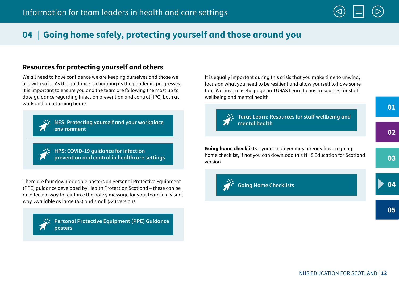### **Resources for protecting yourself and others**

We all need to have confidence we are keeping ourselves and those we live with safe. As the guidance is changing as the pandemic progresses, it is important to ensure you and the team are following the most up to date guidance regarding Infection prevention and control (IPC) both at work and on returning home.



**NES: Protecting yourself and your workplace environment**

**HPS: COVID-19 guidance for infection prevention and control in healthcare settings**

There are four downloadable posters on Personal Protective Equipment (PPE) guidance developed by Health Protection Scotland – these can be an effective way to reinforce the policy message for your team in a visual way. Available as large (A3) and small (A4) versions



**Personal Protective Equipment (PPE) Guidance posters**

It is equally important during this crisis that you make time to unwind, focus on what you need to be resilient and allow yourself to have some fun. We have a useful page on TURAS Learn to host resources for staff wellbeing and mental health



**Turas Learn: Resources for staff wellbeing and mental health**

**Going home checklists** – your employer may already have a going home checklist, if not you can download this NHS Education for Scotland version



**Going Home Checklists**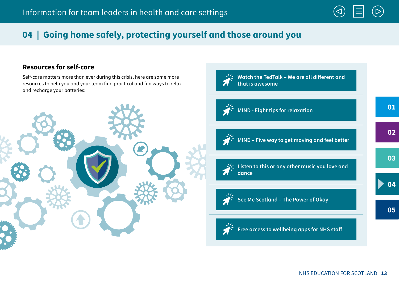

### **Resources for self-care**

Self-care matters more than ever during this crisis, here are some more resources to help you and your team find practical and fun ways to relax and recharge your batteries:



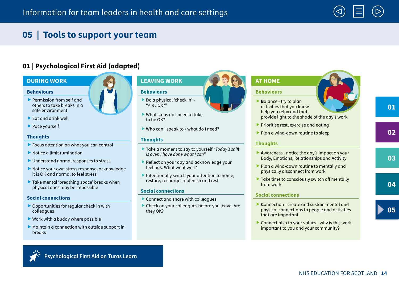

# **05 | Tools to support your team**

### **01 | Psychological First Aid (adapted)**

#### **DURING WORK**

#### **Behaviours**

- Permission from self and others to take breaks in a safe environment
- $\blacktriangleright$  Fat and drink well
- ▶ Pace yourself

#### **Thoughts**

- **Focus attention on what you can control**
- ▶ Notice a limit rumination
- Understand normal responses to stress
- Notice your own stress response, acknowledge it is OK and normal to feel stress
- ▶ Take mental 'breathing space' breaks when physical ones may be impossible

#### **Social connections**

- ▶ Opportunities for regular check in with colleagues
- $\triangleright$  Work with a buddy where possible
- $\blacktriangleright$  Maintain a connection with outside support in breaks



- ▶ Do a physical 'check in' -"Am  $\overline{O}$ K $\overline{O}$ "
- What steps do I need to take to be OK?
- Who can I speak to / what do I need?

#### **Thoughts**

- ▶ Take a moment to say to yourself "Today's shift" is over. I have done what I can"
- Reflect on your day and acknowledge your feelings. What went well?
- Intentionally switch your attention to home, restore, recharge, replenish and rest

#### **Social connections**

- ▶ Connect and share with colleagues
- Check on your colleagues before you leave. Are they OK?

### **AT HOME**

#### **Behaviours**

- **B**alance try to plan activities that you know help you relax and that provide light to the shade of the day's work
- $\blacktriangleright$  Prioritise rest, exercise and eating
- Plan a wind-down routine to sleep

#### **Thoughts**

- **A**wareness notice the day's impact on your Body, Emotions, Relationships and Activity
- Plan a wind-down routine to mentally and physically disconnect from work
- $\blacktriangleright$  Take time to consciously switch off mentally from work

#### **Social connections**

- **C**onnection create and sustain mental and physical connections to people and activities that are important
- Connect also to your values why is this work important to you and your community?

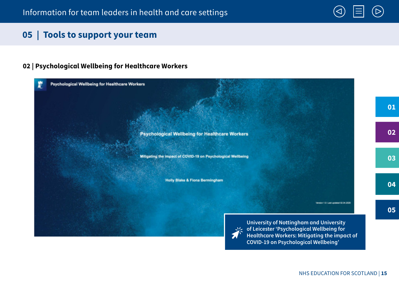### **05 | Tools to support your team**

### **02 | Psychological Wellbeing for Healthcare Workers**

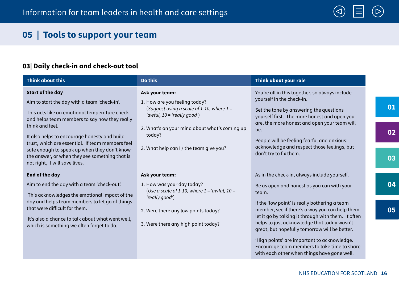

# **05 | Tools to support your team**

### **03| Daily check-in and check-out tool**

| <b>Think about this</b>                                                                                                                                                                                                                                                                                                                                                                                                              | Do this                                                                                                                                                                                                                               | Think about your role                                                                                                                                                                                                                                                                                                                                         |                |
|--------------------------------------------------------------------------------------------------------------------------------------------------------------------------------------------------------------------------------------------------------------------------------------------------------------------------------------------------------------------------------------------------------------------------------------|---------------------------------------------------------------------------------------------------------------------------------------------------------------------------------------------------------------------------------------|---------------------------------------------------------------------------------------------------------------------------------------------------------------------------------------------------------------------------------------------------------------------------------------------------------------------------------------------------------------|----------------|
| <b>Start of the day</b><br>Aim to start the day with a team 'check-in'.<br>This acts like an emotional temperature check<br>and helps team members to say how they really<br>think and feel.<br>It also helps to encourage honesty and build<br>trust, which are essential. If team members feel<br>safe enough to speak up when they don't know<br>the answer, or when they see something that is<br>not right, it will save lives. | Ask your team:<br>1. How are you feeling today?<br>(Suggest using a scale of 1-10, where $1 =$<br>'awful, $10 = 'really good')$<br>2. What's on your mind about what's coming up<br>today?<br>3. What help can I / the team give you? | You're all in this together, so always include<br>yourself in the check-in.<br>Set the tone by answering the questions<br>yourself first. The more honest and open you<br>are, the more honest and open your team will<br>be.<br>People will be feeling fearful and anxious:<br>acknowledge and respect those feelings, but<br>don't try to fix them.         | 01<br>02<br>03 |
| <b>End of the day</b><br>Aim to end the day with a team 'check-out'.<br>This acknowledges the emotional impact of the<br>day and helps team members to let go of things<br>that were difficult for them.<br>It's also a chance to talk about what went well,<br>which is something we often forget to do.                                                                                                                            | Ask your team:<br>1. How was your day today?<br>(Use a scale of 1-10, where $1 = 'awful$ , $10 =$<br>'really good')<br>2. Were there any low points today?<br>3. Were there any high point today?                                     | As in the check-in, always include yourself.<br>Be as open and honest as you can with your<br>team.<br>If the 'low point' is really bothering a team<br>member, see if there's a way you can help them<br>let it go by talking it through with them. It often<br>helps to just acknowledge that today wasn't<br>great, but hopefully tomorrow will be better. | 04<br>05       |
|                                                                                                                                                                                                                                                                                                                                                                                                                                      |                                                                                                                                                                                                                                       | 'High points' are important to acknowledge.<br>Encourage team members to take time to share<br>with each other when things have gone well.                                                                                                                                                                                                                    |                |